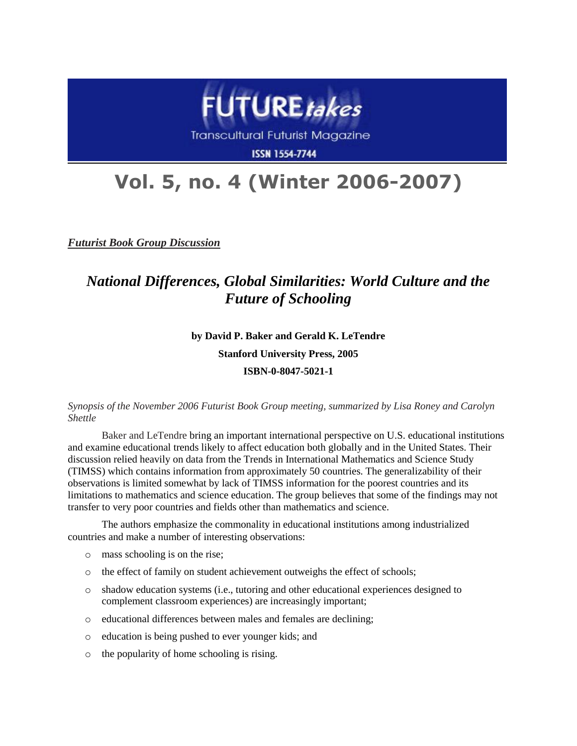

**Transcultural Futurist Magazine** 

**ISSN 1554-7744** 

## **Vol. 5, no. 4 (Winter 2006-2007)**

*Futurist Book Group Discussion*

## *National Differences, Global Similarities: World Culture and the Future of Schooling*

**by David P. Baker and Gerald K. LeTendre Stanford University Press, 2005 ISBN-0-8047-5021-1**

*Synopsis of the November 2006 Futurist Book Group meeting, summarized by Lisa Roney and Carolyn Shettle*

Baker and LeTendre bring an important international perspective on U.S. educational institutions and examine educational trends likely to affect education both globally and in the United States. Their discussion relied heavily on data from the Trends in International Mathematics and Science Study (TIMSS) which contains information from approximately 50 countries. The generalizability of their observations is limited somewhat by lack of TIMSS information for the poorest countries and its limitations to mathematics and science education. The group believes that some of the findings may not transfer to very poor countries and fields other than mathematics and science.

The authors emphasize the commonality in educational institutions among industrialized countries and make a number of interesting observations:

- o mass schooling is on the rise;
- o the effect of family on student achievement outweighs the effect of schools;
- o shadow education systems (i.e., tutoring and other educational experiences designed to complement classroom experiences) are increasingly important;
- o educational differences between males and females are declining;
- o education is being pushed to ever younger kids; and
- o the popularity of home schooling is rising.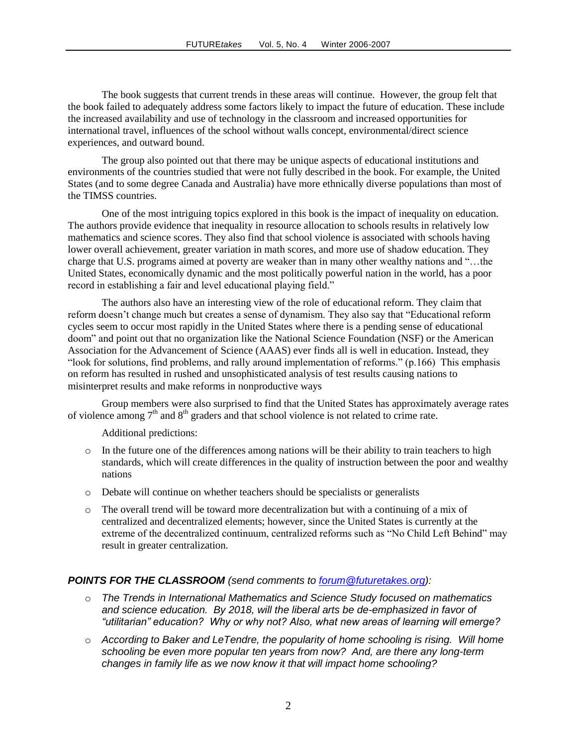The book suggests that current trends in these areas will continue. However, the group felt that the book failed to adequately address some factors likely to impact the future of education. These include the increased availability and use of technology in the classroom and increased opportunities for international travel, influences of the school without walls concept, environmental/direct science experiences, and outward bound.

The group also pointed out that there may be unique aspects of educational institutions and environments of the countries studied that were not fully described in the book. For example, the United States (and to some degree Canada and Australia) have more ethnically diverse populations than most of the TIMSS countries.

One of the most intriguing topics explored in this book is the impact of inequality on education. The authors provide evidence that inequality in resource allocation to schools results in relatively low mathematics and science scores. They also find that school violence is associated with schools having lower overall achievement, greater variation in math scores, and more use of shadow education. They charge that U.S. programs aimed at poverty are weaker than in many other wealthy nations and "…the United States, economically dynamic and the most politically powerful nation in the world, has a poor record in establishing a fair and level educational playing field."

The authors also have an interesting view of the role of educational reform. They claim that reform doesn't change much but creates a sense of dynamism. They also say that "Educational reform cycles seem to occur most rapidly in the United States where there is a pending sense of educational doom" and point out that no organization like the National Science Foundation (NSF) or the American Association for the Advancement of Science (AAAS) ever finds all is well in education. Instead, they "look for solutions, find problems, and rally around implementation of reforms." (p.166) This emphasis on reform has resulted in rushed and unsophisticated analysis of test results causing nations to misinterpret results and make reforms in nonproductive ways

Group members were also surprised to find that the United States has approximately average rates of violence among  $7<sup>th</sup>$  and  $8<sup>th</sup>$  graders and that school violence is not related to crime rate.

Additional predictions:

- o In the future one of the differences among nations will be their ability to train teachers to high standards, which will create differences in the quality of instruction between the poor and wealthy nations
- o Debate will continue on whether teachers should be specialists or generalists
- o The overall trend will be toward more decentralization but with a continuing of a mix of centralized and decentralized elements; however, since the United States is currently at the extreme of the decentralized continuum, centralized reforms such as "No Child Left Behind" may result in greater centralization.

## *POINTS FOR THE CLASSROOM (send comments to [forum@futuretakes.org\)](mailto:forum@futuretakes.org):*

- o *The Trends in International Mathematics and Science Study focused on mathematics and science education. By 2018, will the liberal arts be de-emphasized in favor of "utilitarian" education? Why or why not? Also, what new areas of learning will emerge?*
- o *According to Baker and LeTendre, the popularity of home schooling is rising. Will home schooling be even more popular ten years from now? And, are there any long-term changes in family life as we now know it that will impact home schooling?*